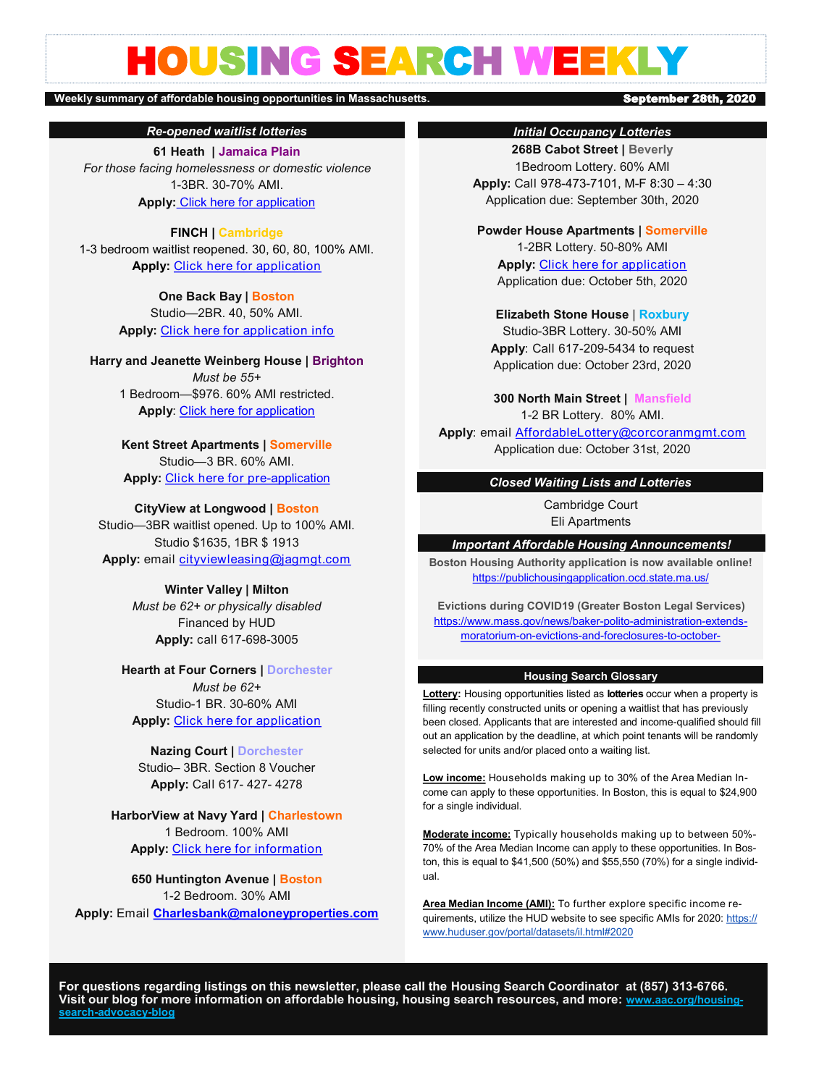# HOUSING SEARCH WEEKLY

#### Weekly summary of affordable housing opportunities in Massachusetts. **September 28th, 2020**

*Re-opened waitlist lotteries*

**61 Heath | Jamaica Plain** *For those facing homelessness or domestic violence* 1-3BR. 30-70% AMI. **Apply:** [Click here for application](http://www.peabodyproperties.com/communities/images/applications/ppi-common-rental-pre-application.pdf)

#### **FINCH | Cambridge**

1-3 bedroom waitlist reopened. 30, 60, 80, 100% AMI. **Apply:** [Click here for application](https://www.finchcambridge.com/)

> **One Back Bay | Boston** Studio—2BR. 40, 50% AMI. **Apply:** [Click here for application info](https://www.boston.gov/sites/default/files/metrolist_pdf/2020/07/one-back-bay-info.-sheet-7.28.2020.pdf)

**Harry and Jeanette Weinberg House | Brighton** *Must be 55+* 1 Bedroom—\$976. 60% AMI restricted. **Apply**: [Click here for application](https://www.boston.gov/sites/default/files/embed/file/2019-08/weinberg_rental_application_2019_-_60.pdf)

> **Kent Street Apartments | Somerville** Studio—3 BR. 60% AMI. **Apply:** [Click here for pre](https://cdngeneral.rentcafe.com/dmslivecafe/3/436785/3_436785_6148385.pdf)-application

#### **CityView at Longwood | Boston**

Studio—3BR waitlist opened. Up to 100% AMI. Studio \$1635, 1BR \$ 1913 **Apply:** email [cityviewleasing@jagmgt.com](mailto:cityviewleasing@jagmgt.com)

> **Winter Valley | Milton** *Must be 62+ or physically disabled* Financed by HUD **Apply:** call 617-698-3005

**Hearth at Four Corners | Dorchester** *Must be 62+*  Studio-1 BR. 30-60% AMI **Apply: [Click here for application](http://www.hearthatfourcorners.com/img/hearth-four-corners.pdf)** 

**Nazing Court | Dorchester** Studio– 3BR. Section 8 Voucher **Apply:** [Call 61](file:///C:/Users/jwall/Desktop/Comaven Application.pdf)7- 427- 4278

**HarborView at Navy Yard | Charlestown** 1 Bedroom. 100% AMI **Apply:** [Click here for information](https://www.boston.gov/sites/default/files/metrolist_pdf/2020/07/harborview-at-the-navy-yard-1-bed_1-bath---available-october-7---100-ami.pdf)

**650 Huntington Avenue | Boston** 1-2 Bedroom. 30% AMI **Apply:** [Email](https://www.boston.gov/sites/default/files/metrolist_pdf/2020/07/harborview-at-the-navy-yard-1-bed_1-bath---available-october-7---100-ami.pdf) **[Charlesbank@maloneyproperties.com](mailto:Charlesbank@maloneyproperties.com)**

### *Initial Occupancy Lotteries*

**268B Cabot Street | Beverly** 1Bedroom Lottery. 60% AMI **Apply:** Call 978-473-7101, M-F 8:30 – 4:30 Application due: September 30th, 2020

**Powder House Apartments | Somerville** 1-2BR Lottery. 50-80% AMI **Apply:** [Click here for application](https://www.maloneyrealestate.com/1060-Broadway-somerville-affordable-housing-lottery) Application due: October 5th, 2020

**Elizabeth Stone House** | **Roxbury**

Studio-3BR Lottery. 30-50% AMI **Apply**: Call 617-209-5434 to request Application due: October 23rd, 2020

**300 North Main Street | Mansfield** 1-2 BR Lottery. 80% AMI.

**Apply**: email [AffordableLottery@corcoranmgmt.com](mailto:AffordableLottery@corcoranmgmt.com) Application due: October 31st, 2020

### *Closed Waiting Lists and Lotteries*

Cambridge Court Eli Apartments

*Important Affordable Housing Announcements!*

**Boston Housing Authority application is now available online!**  <https://publichousingapplication.ocd.state.ma.us/>

**Evictions during COVID19 (Greater Boston Legal Services)** [https://www.mass.gov/news/baker](https://www.mass.gov/news/baker-polito-administration-extends-moratorium-on-evictions-and-foreclosures-to-october-17)-polito-administration-extendsmoratorium-on-evictions-and-[foreclosures](https://www.mass.gov/news/baker-polito-administration-extends-moratorium-on-evictions-and-foreclosures-to-october-17)-to-october-

#### **Housing Search Glossary**

**Lottery:** Housing opportunities listed as **lotteries** occur when a property is filling recently constructed units or opening a waitlist that has previously been closed. Applicants that are interested and income-qualified should fill out an application by the deadline, at which point tenants will be randomly selected for units and/or placed onto a waiting list.

**Low income:** Households making up to 30% of the Area Median Income can apply to these opportunities. In Boston, this is equal to \$24,900 for a single individual.

**Moderate income:** Typically households making up to between 50%- 70% of the Area Median Income can apply to these opportunities. In Boston, this is equal to \$41,500 (50%) and \$55,550 (70%) for a single individual.

**Area Median Income (AMI):** To further explore specific income requirements, utilize the HUD website to see specific AMIs for 2020: https:// www.huduser.gov/portal/datasets/il.html#2020

**For questions regarding listings on this newsletter, please call the Housing Search Coordinator at (857) 313-6766. Visit our blog for more information on affordable housing, housing search resources, and more: [www.aac.org/housing](file:///C:/Users/jwall/Documents/Custom Office Templates)search-[advocacy](file:///C:/Users/jwall/Documents/Custom Office Templates)-blog**